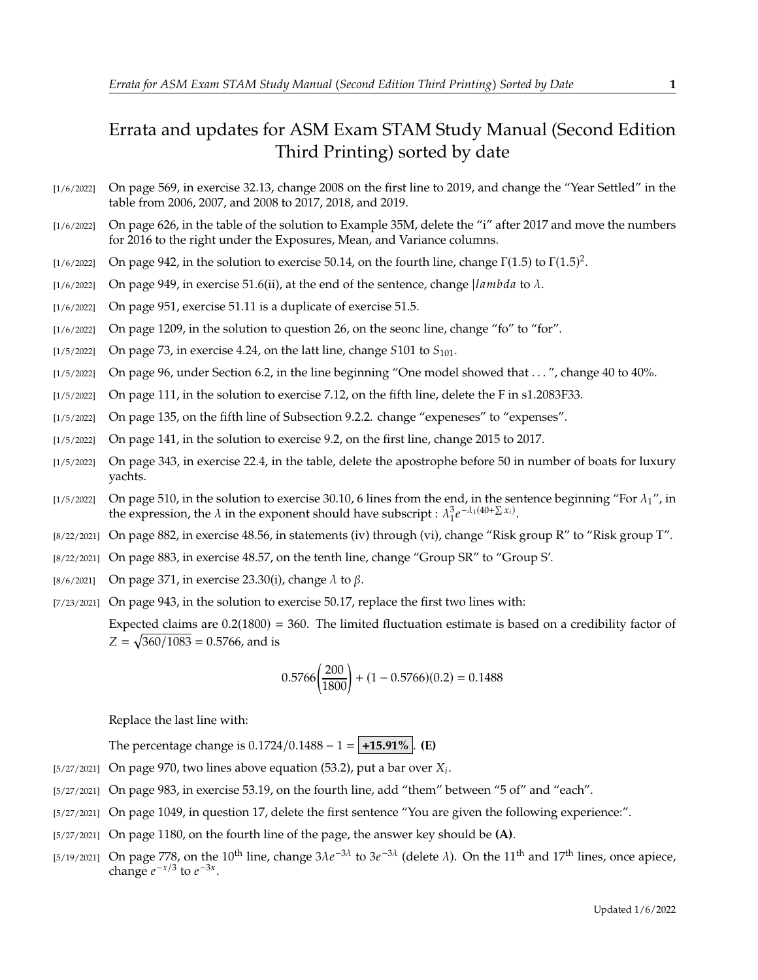## Errata and updates for ASM Exam STAM Study Manual (Second Edition Third Printing) sorted by date

- [1/6/2022] On page 569, in exercise 32.13, change 2008 on the first line to 2019, and change the "Year Settled" in the table from 2006, 2007, and 2008 to 2017, 2018, and 2019.
- [1/6/2022] On page 626, in the table of the solution to Example 35M, delete the "i" after 2017 and move the numbers for 2016 to the right under the Exposures, Mean, and Variance columns.
- [1/6/2022] On page 942, in the solution to exercise 50.14, on the fourth line, change  $\Gamma(1.5)$  to  $\Gamma(1.5)^2$ .
- [1/6/2022] On page 949, in exercise 51.6(ii), at the end of the sentence, change *lambda* to  $\lambda$ .
- [1/6/2022] On page 951, exercise 51.11 is a duplicate of exercise 51.5.
- [1/6/2022] On page 1209, in the solution to question 26, on the seonc line, change "fo" to "for".
- [1/5/2022] On page 73, in exercise 4.24, on the latt line, change  $5101$  to  $S_{101}$ .
- [1/5/2022] On page 96, under Section 6.2, in the line beginning "One model showed that . . . ", change 40 to 40%.
- [1/5/2022] On page 111, in the solution to exercise 7.12, on the fifth line, delete the F in s1.2083F33.
- [1/5/2022] On page 135, on the fifth line of Subsection 9.2.2. change "expeneses" to "expenses".
- [1/5/2022] On page 141, in the solution to exercise 9.2, on the first line, change 2015 to 2017.
- [1/5/2022] On page 343, in exercise 22.4, in the table, delete the apostrophe before 50 in number of boats for luxury yachts.
- [1/5/2022] On page 510, in the solution to exercise 30.10, 6 lines from the end, in the sentence beginning "For  $\lambda_1$ ", in the expression, the  $\lambda$  in the exponent should have subscript :  $\lambda_1^3 e$  $-\lambda_1(40+\sum x_i)$ .
- [8/22/2021] On page 882, in exercise 48.56, in statements (iv) through (vi), change "Risk group R" to "Risk group T".
- [8/22/2021] On page 883, in exercise 48.57, on the tenth line, change "Group SR" to "Group S'.
- [8/6/2021] On page 371, in exercise 23.30(i), change  $\lambda$  to  $\beta$ .

[7/23/2021] On page 943, in the solution to exercise 50.17, replace the first two lines with:

Expected claims are  $0.2(1800) = 360$ . The limited fluctuation estimate is based on a credibility factor of  $Z = \sqrt{360/1083} = 0.5766$ , and is

$$
0.5766 \left(\frac{200}{1800}\right) + (1 - 0.5766)(0.2) = 0.1488
$$

Replace the last line with:

The percentage change is  $0.1724/0.1488 - 1 = +15.91\%$ . **(E)** 

- [5/27/2021] On page 970, two lines above equation (53.2), put a bar over  $X_i$ .
- [5/27/2021] On page 983, in exercise 53.19, on the fourth line, add "them" between "5 of" and "each".
- [5/27/2021] On page 1049, in question 17, delete the first sentence "You are given the following experience:".
- [5/27/2021] On page 1180, on the fourth line of the page, the answer key should be **(A)**.
- [5/19/2021] On page 778, on the 10<sup>th</sup> line, change  $3\lambda e^{-3\lambda}$  to  $3e^{-3\lambda}$  (delete  $\lambda$ ). On the 11<sup>th</sup> and 17<sup>th</sup> lines, once apiece, change  $e^{-x/3}$  to  $e^{-3x}$ change  $e^{-x/3}$  to  $e^{-3x}$ .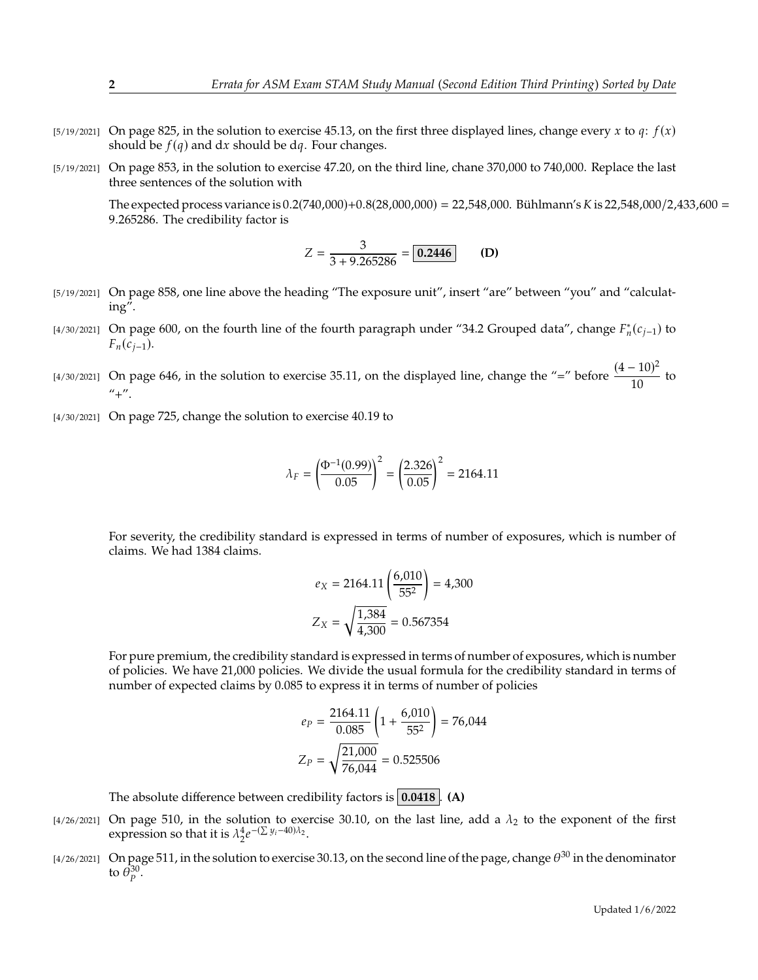- $[5/19/2021]$  On page 825, in the solution to exercise 45.13, on the first three displayed lines, change every x to q:  $f(x)$ should be  $f(q)$  and dx should be dq. Four changes.
- [5/19/2021] On page 853, in the solution to exercise 47.20, on the third line, chane 370,000 to 740,000. Replace the last three sentences of the solution with

The expected process variance is  $0.2(740,000)+0.8(28,000,000) = 22,548,000$ . Bühlmann's K is 22,548,000/2,433,600 = <sup>9</sup>.265286. The credibility factor is

$$
Z = \frac{3}{3 + 9.265286} = \boxed{0.2446}
$$
 (D)

- [5/19/2021] On page 858, one line above the heading "The exposure unit", insert "are" between "you" and "calculating".
- [4/30/2021] On page 600, on the fourth line of the fourth paragraph under "34.2 Grouped data", change  $F_n^*(c_{j-1})$  to  $F_n(c_{j-1}).$
- [4/30/2021] On page 646, in the solution to exercise 35.11, on the displayed line, change the "=" before  $\frac{(4-10)^2}{10}$  $\frac{1}{10}$  to  $^{\prime\prime}$ + $^{\prime\prime}$ .
- [4/30/2021] On page 725, change the solution to exercise 40.19 to

$$
\lambda_F = \left(\frac{\Phi^{-1}(0.99)}{0.05}\right)^2 = \left(\frac{2.326}{0.05}\right)^2 = 2164.11
$$

For severity, the credibility standard is expressed in terms of number of exposures, which is number of claims. We had 1384 claims.

$$
e_X = 2164.11 \left( \frac{6,010}{55^2} \right) = 4,300
$$

$$
Z_X = \sqrt{\frac{1,384}{4,300}} = 0.567354
$$

For pure premium, the credibility standard is expressed in terms of number of exposures, which is number of policies. We have 21,000 policies. We divide the usual formula for the credibility standard in terms of number of expected claims by 0.085 to express it in terms of number of policies

$$
e_P = \frac{2164.11}{0.085} \left( 1 + \frac{6,010}{55^2} \right) = 76,044
$$

$$
Z_P = \sqrt{\frac{21,000}{76,044}} = 0.525506
$$

The absolute difference between credibility factors is **0.0418** . **(A)**

- [4/26/2021] On page 510, in the solution to exercise 30.10, on the last line, add a  $\lambda_2$  to the exponent of the first expression so that it is  $\lambda_2^4 e$  $-(\sum y_i - 40)\lambda_2$ .
- [4/26/2021] On page 511, in the solution to exercise 30.13, on the second line of the page, change  $\theta^{30}$  in the denominator to  $\bar{\theta}_p^{30}$ .